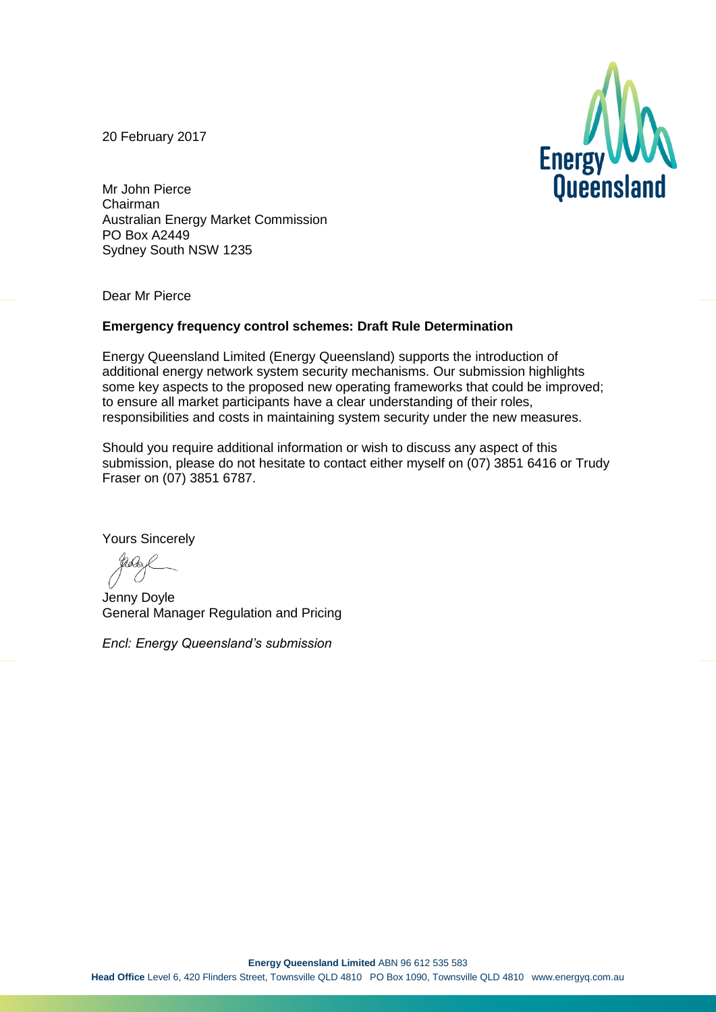20 February 2017



Mr John Pierce Chairman Australian Energy Market Commission PO Box A2449 Sydney South NSW 1235

Dear Mr Pierce

#### **Emergency frequency control schemes: Draft Rule Determination**

Energy Queensland Limited (Energy Queensland) supports the introduction of additional energy network system security mechanisms. Our submission highlights some key aspects to the proposed new operating frameworks that could be improved; to ensure all market participants have a clear understanding of their roles, responsibilities and costs in maintaining system security under the new measures.

Should you require additional information or wish to discuss any aspect of this submission, please do not hesitate to contact either myself on (07) 3851 6416 or Trudy Fraser on (07) 3851 6787.

Yours Sincerely

Jenny Doyle General Manager Regulation and Pricing

*Encl: Energy Queensland's submission*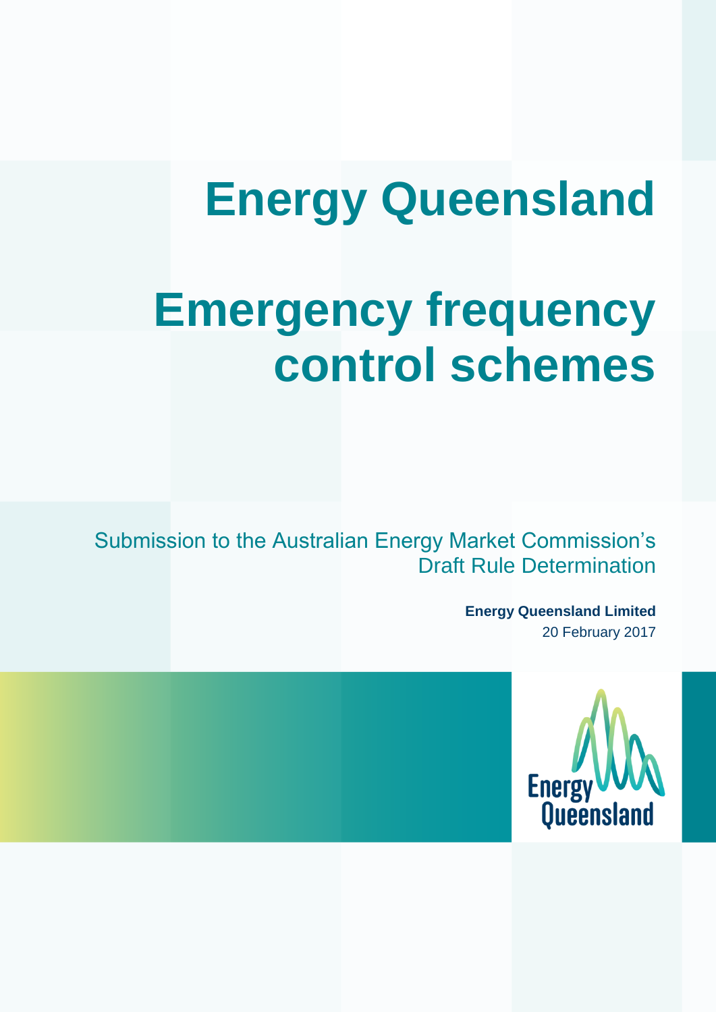# **Energy Queensland**

# **Emergency frequency control schemes**

Submission to the Australian Energy Market Commission's Draft Rule Determination

> **Energy Queensland Limited** 20 February 2017

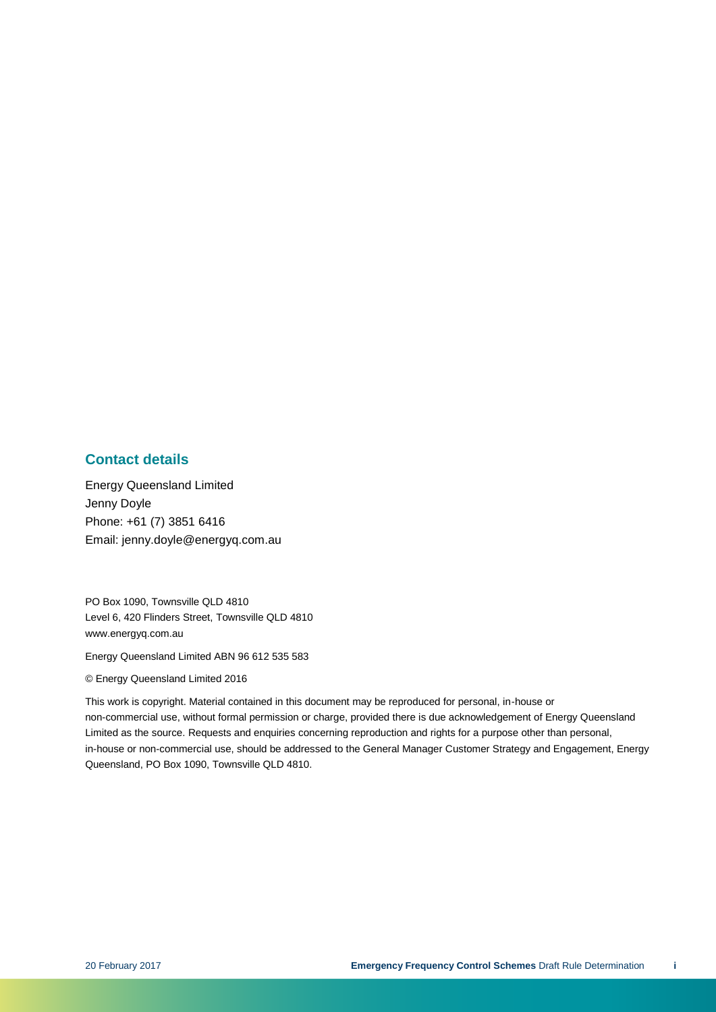#### **Contact details**

Energy Queensland Limited Jenny Doyle Phone: +61 (7) 3851 6416 Email: jenny.doyle@energyq.com.au

PO Box 1090, Townsville QLD 4810 Level 6, 420 Flinders Street, Townsville QLD 4810 www.energyq.com.au

Energy Queensland Limited ABN 96 612 535 583

© Energy Queensland Limited 2016

This work is copyright. Material contained in this document may be reproduced for personal, in-house or non-commercial use, without formal permission or charge, provided there is due acknowledgement of Energy Queensland Limited as the source. Requests and enquiries concerning reproduction and rights for a purpose other than personal, in-house or non-commercial use, should be addressed to the General Manager Customer Strategy and Engagement, Energy Queensland, PO Box 1090, Townsville QLD 4810.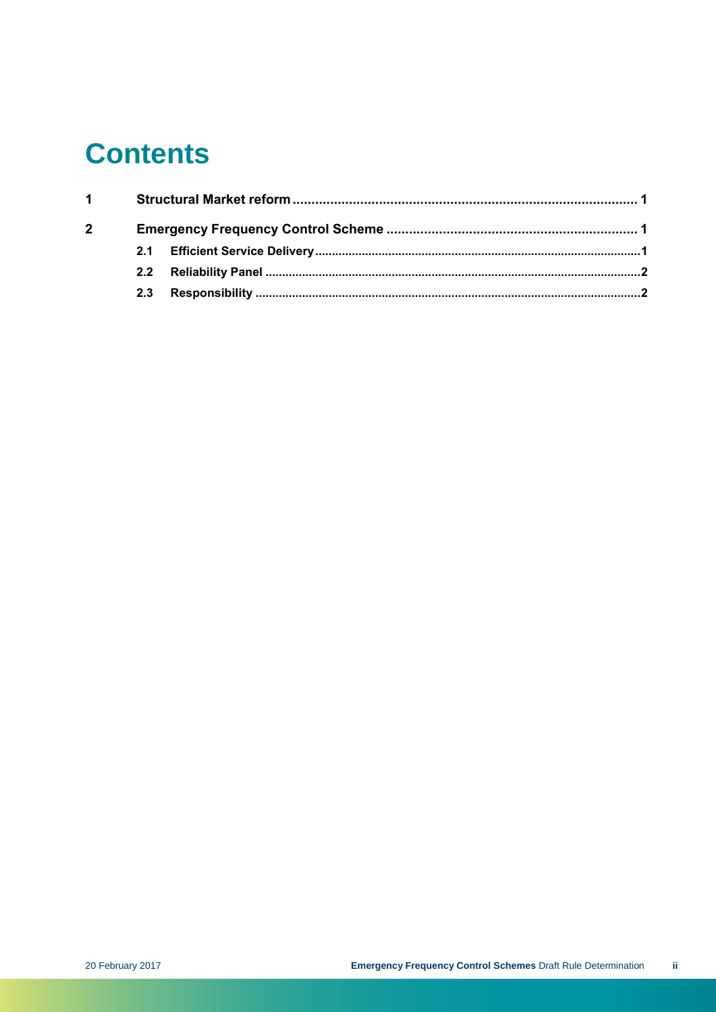## **Contents**

| $1 \quad \blacksquare$ |  |  |  |
|------------------------|--|--|--|
| $\mathbf{2}$           |  |  |  |
|                        |  |  |  |
|                        |  |  |  |
|                        |  |  |  |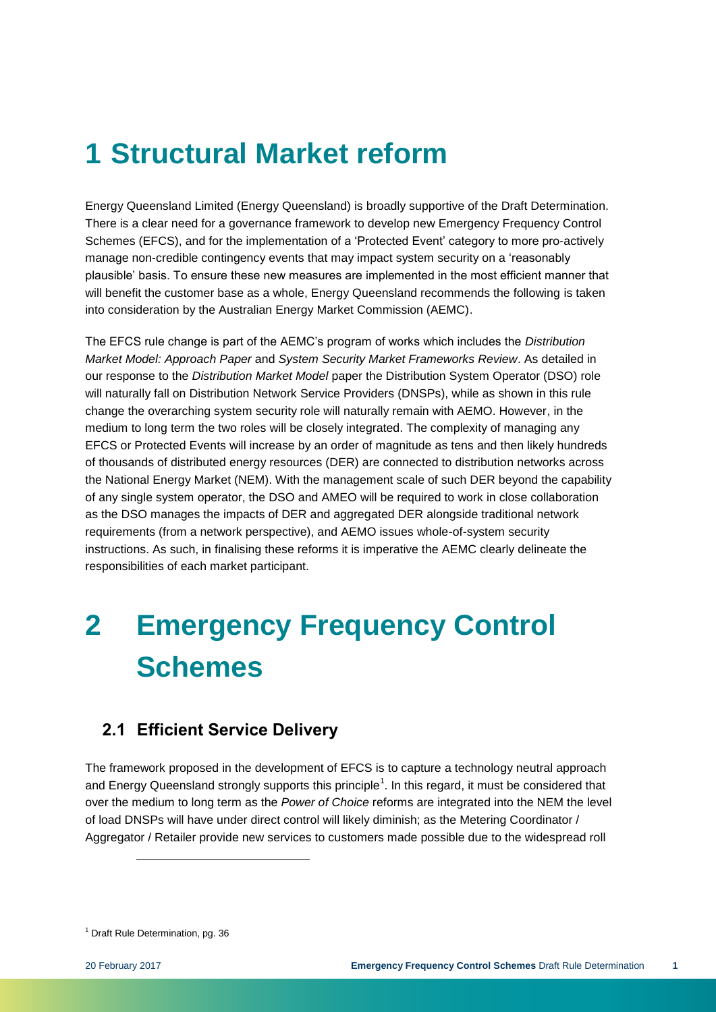## <span id="page-4-0"></span>**1 Structural Market reform**

Energy Queensland Limited (Energy Queensland) is broadly supportive of the Draft Determination. There is a clear need for a governance framework to develop new Emergency Frequency Control Schemes (EFCS), and for the implementation of a 'Protected Event' category to more pro-actively manage non-credible contingency events that may impact system security on a 'reasonably plausible' basis. To ensure these new measures are implemented in the most efficient manner that will benefit the customer base as a whole, Energy Queensland recommends the following is taken into consideration by the Australian Energy Market Commission (AEMC).

The EFCS rule change is part of the AEMC's program of works which includes the *Distribution Market Model: Approach Paper* and *System Security Market Frameworks Review*. As detailed in our response to the *Distribution Market Model* paper the Distribution System Operator (DSO) role will naturally fall on Distribution Network Service Providers (DNSPs), while as shown in this rule change the overarching system security role will naturally remain with AEMO. However, in the medium to long term the two roles will be closely integrated. The complexity of managing any EFCS or Protected Events will increase by an order of magnitude as tens and then likely hundreds of thousands of distributed energy resources (DER) are connected to distribution networks across the National Energy Market (NEM). With the management scale of such DER beyond the capability of any single system operator, the DSO and AMEO will be required to work in close collaboration as the DSO manages the impacts of DER and aggregated DER alongside traditional network requirements (from a network perspective), and AEMO issues whole-of-system security instructions. As such, in finalising these reforms it is imperative the AEMC clearly delineate the responsibilities of each market participant.

# <span id="page-4-1"></span>**2 Emergency Frequency Control Schemes**

#### <span id="page-4-2"></span>**2.1 Efficient Service Delivery**

The framework proposed in the development of EFCS is to capture a technology neutral approach and Energy Queensland strongly supports this principle<sup>1</sup>. In this regard, it must be considered that over the medium to long term as the *Power of Choice* reforms are integrated into the NEM the level of load DNSPs will have under direct control will likely diminish; as the Metering Coordinator / Aggregator / Retailer provide new services to customers made possible due to the widespread roll

l

<sup>&</sup>lt;sup>1</sup> Draft Rule Determination, pg. 36